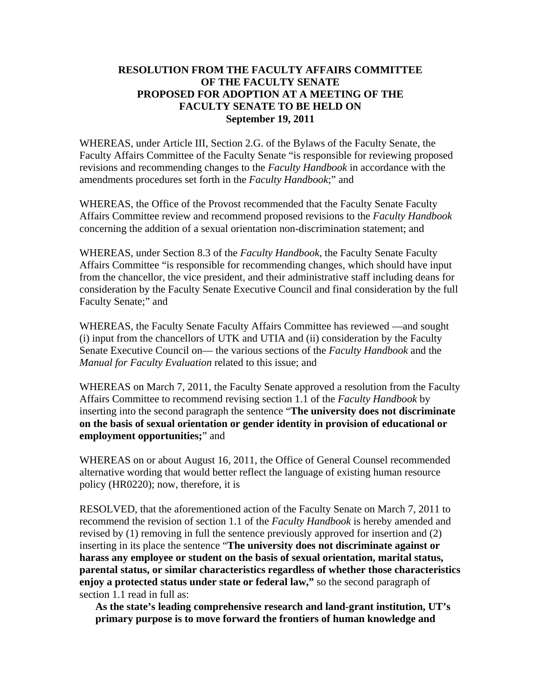## **RESOLUTION FROM THE FACULTY AFFAIRS COMMITTEE OF THE FACULTY SENATE PROPOSED FOR ADOPTION AT A MEETING OF THE FACULTY SENATE TO BE HELD ON September 19, 2011**

WHEREAS, under Article III, Section 2.G. of the Bylaws of the Faculty Senate, the Faculty Affairs Committee of the Faculty Senate "is responsible for reviewing proposed revisions and recommending changes to the *Faculty Handbook* in accordance with the amendments procedures set forth in the *Faculty Handbook*;" and

WHEREAS, the Office of the Provost recommended that the Faculty Senate Faculty Affairs Committee review and recommend proposed revisions to the *Faculty Handbook*  concerning the addition of a sexual orientation non-discrimination statement; and

WHEREAS, under Section 8.3 of the *Faculty Handbook*, the Faculty Senate Faculty Affairs Committee "is responsible for recommending changes, which should have input from the chancellor, the vice president, and their administrative staff including deans for consideration by the Faculty Senate Executive Council and final consideration by the full Faculty Senate;" and

WHEREAS, the Faculty Senate Faculty Affairs Committee has reviewed —and sought (i) input from the chancellors of UTK and UTIA and (ii) consideration by the Faculty Senate Executive Council on— the various sections of the *Faculty Handbook* and the *Manual for Faculty Evaluation* related to this issue; and

WHEREAS on March 7, 2011, the Faculty Senate approved a resolution from the Faculty Affairs Committee to recommend revising section 1.1 of the *Faculty Handbook* by inserting into the second paragraph the sentence "**The university does not discriminate on the basis of sexual orientation or gender identity in provision of educational or employment opportunities;**" and

WHEREAS on or about August 16, 2011, the Office of General Counsel recommended alternative wording that would better reflect the language of existing human resource policy (HR0220); now, therefore, it is

RESOLVED, that the aforementioned action of the Faculty Senate on March 7, 2011 to recommend the revision of section 1.1 of the *Faculty Handbook* is hereby amended and revised by (1) removing in full the sentence previously approved for insertion and (2) inserting in its place the sentence "**The university does not discriminate against or harass any employee or student on the basis of sexual orientation, marital status, parental status, or similar characteristics regardless of whether those characteristics enjoy a protected status under state or federal law,"** so the second paragraph of section 1.1 read in full as:

**As the state's leading comprehensive research and land-grant institution, UT's primary purpose is to move forward the frontiers of human knowledge and**